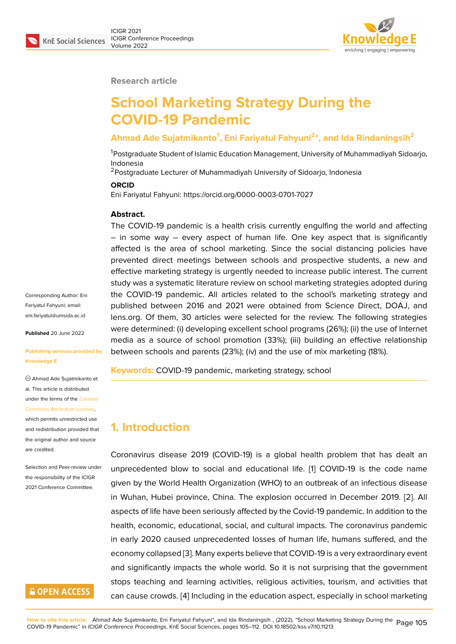

#### **Research article**

# **School Marketing Strategy During the COVID-19 Pandemic**

#### **Ahmad Ade Sujatmikanto<sup>1</sup> , Eni Fariyatul Fahyuni<sup>2</sup> \*, and Ida Rindaningsih<sup>2</sup>**

<sup>1</sup>Postgraduate Student of Islamic Education Management, University of Muhammadiyah Sidoarjo, Indonesia

<sup>2</sup>Postgraduate Lecturer of Muhammadiyah University of Sidoarjo, Indonesia

#### **ORCID**

Eni Fariyatul Fahyuni: https://orcid.org/0000-0003-0701-7027

#### **Abstract.**

The COVID-19 pandemic is a health crisis currently engulfing the world and affecting – in some way – every aspect of human life. One key aspect that is significantly affected is the area of school marketing. Since the social distancing policies have prevented direct meetings between schools and prospective students, a new and effective marketing strategy is urgently needed to increase public interest. The current study was a systematic literature review on school marketing strategies adopted during the COVID-19 pandemic. All articles related to the school's marketing strategy and published between 2016 and 2021 were obtained from Science Direct, DOAJ, and lens.org. Of them, 30 articles were selected for the review. The following strategies were determined: (i) developing excellent school programs (26%); (ii) the use of Internet media as a source of school promotion (33%); (iii) building an effective relationship between schools and parents (23%); (iv) and the use of mix marketing (18%).

**Keywords:** COVID-19 pandemic, marketing strategy, school

### **1. Introduction**

Coronavirus disease 2019 (COVID-19) is a global health problem that has dealt an unprecedented blow to social and educational life. [1] COVID-19 is the code name given by the World Health Organization (WHO) to an outbreak of an infectious disease in Wuhan, Hubei province, China. The explosion occurred in December 2019. [2]. All aspects of life have been seriously affected by the Covi[d](#page-5-0)-19 pandemic. In addition to the health, economic, educational, social, and cultural impacts. The coronavirus pandemic in early 2020 caused unprecedented losses of human life, humans suffered, a[nd](#page-5-1) the economy collapsed [3]. Many experts believe that COVID-19 is a very extraordinary event and significantly impacts the whole world. So it is not surprising that the government stops teaching and learning activities, religious activities, tourism, and activities that can cause crowds. [[4\]](#page-5-2) Including in the education aspect, especially in school marketing

Corresponding Author: Eni Fariyatul Fahyuni; email: eni.fariyatul@umsida.ac.id

**Published** 20 June 2022

#### **[Publishing services provi](mailto:eni.fariyatul@umsida.ac.id)ded by Knowledge E**

Ahmad Ade Sujatmikanto et al. This article is distributed under the terms of the Creative Commons Attribution License,

which permits unrestricted use and redistribution provided that the original author and [source](https://creativecommons.org/licenses/by/4.0/) [are credited.](https://creativecommons.org/licenses/by/4.0/)

Selection and Peer-review under the responsibility of the ICIGR 2021 Conference Committee.

### **GOPEN ACCESS**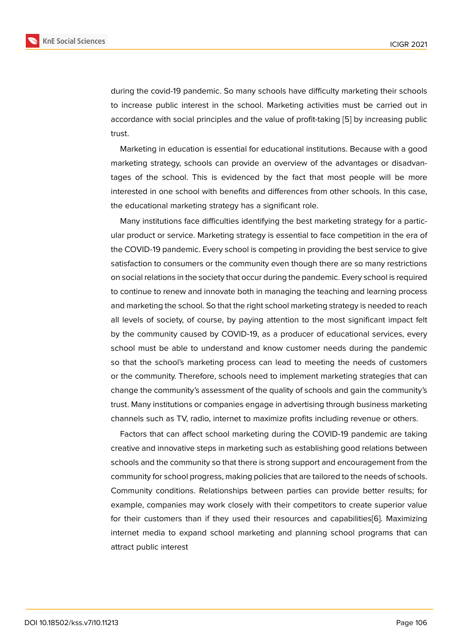during the covid-19 pandemic. So many schools have difficulty marketing their schools to increase public interest in the school. Marketing activities must be carried out in accordance with social principles and the value of profit-taking [5] by increasing public trust.

Marketing in education is essential for educational institutions. Because with a good marketing strategy, schools can provide an overview of the a[dva](#page-5-3)ntages or disadvantages of the school. This is evidenced by the fact that most people will be more interested in one school with benefits and differences from other schools. In this case, the educational marketing strategy has a significant role.

Many institutions face difficulties identifying the best marketing strategy for a particular product or service. Marketing strategy is essential to face competition in the era of the COVID-19 pandemic. Every school is competing in providing the best service to give satisfaction to consumers or the community even though there are so many restrictions on social relations in the society that occur during the pandemic. Every school is required to continue to renew and innovate both in managing the teaching and learning process and marketing the school. So that the right school marketing strategy is needed to reach all levels of society, of course, by paying attention to the most significant impact felt by the community caused by COVID-19, as a producer of educational services, every school must be able to understand and know customer needs during the pandemic so that the school's marketing process can lead to meeting the needs of customers or the community. Therefore, schools need to implement marketing strategies that can change the community's assessment of the quality of schools and gain the community's trust. Many institutions or companies engage in advertising through business marketing channels such as TV, radio, internet to maximize profits including revenue or others.

Factors that can affect school marketing during the COVID-19 pandemic are taking creative and innovative steps in marketing such as establishing good relations between schools and the community so that there is strong support and encouragement from the community for school progress, making policies that are tailored to the needs of schools. Community conditions. Relationships between parties can provide better results; for example, companies may work closely with their competitors to create superior value for their customers than if they used their resources and capabilities[6]. Maximizing internet media to expand school marketing and planning school programs that can attract public interest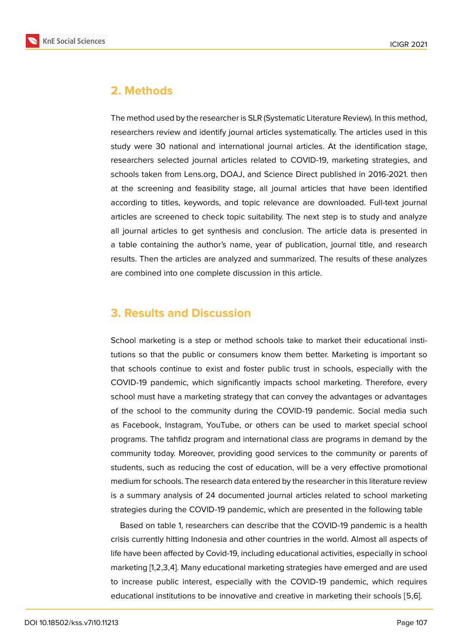

## **2. Methods**

The method used by the researcher is SLR (Systematic Literature Review). In this method, researchers review and identify journal articles systematically. The articles used in this study were 30 national and international journal articles. At the identification stage, researchers selected journal articles related to COVID-19, marketing strategies, and schools taken from Lens.org, DOAJ, and Science Direct published in 2016-2021. then at the screening and feasibility stage, all journal articles that have been identified according to titles, keywords, and topic relevance are downloaded. Full-text journal articles are screened to check topic suitability. The next step is to study and analyze all journal articles to get synthesis and conclusion. The article data is presented in a table containing the author's name, year of publication, journal title, and research results. Then the articles are analyzed and summarized. The results of these analyzes are combined into one complete discussion in this article.

### **3. Results and Discussion**

School marketing is a step or method schools take to market their educational institutions so that the public or consumers know them better. Marketing is important so that schools continue to exist and foster public trust in schools, especially with the COVID-19 pandemic, which significantly impacts school marketing. Therefore, every school must have a marketing strategy that can convey the advantages or advantages of the school to the community during the COVID-19 pandemic. Social media such as Facebook, Instagram, YouTube, or others can be used to market special school programs. The tahfidz program and international class are programs in demand by the community today. Moreover, providing good services to the community or parents of students, such as reducing the cost of education, will be a very effective promotional medium for schools. The research data entered by the researcher in this literature review is a summary analysis of 24 documented journal articles related to school marketing strategies during the COVID-19 pandemic, which are presented in the following table

Based on table 1, researchers can describe that the COVID-19 pandemic is a health crisis currently hitting Indonesia and other countries in the world. Almost all aspects of life have been affected by Covid-19, including educational activities, especially in school marketing [1,2,3,4]. Many educational marketing strategies have emerged and are used to increase public interest, especially with the COVID-19 pandemic, which requires educational institutions to be innovative and creative in marketing their schools [5,6].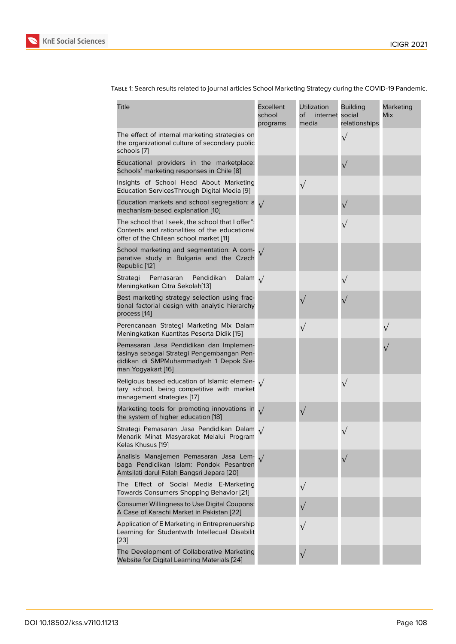| Title                                                                                                                                                  | Excellent<br>school<br>programs | <b>Utilization</b><br>of<br>internet social<br>media | <b>Building</b><br>relationships | Marketing<br>Mix |
|--------------------------------------------------------------------------------------------------------------------------------------------------------|---------------------------------|------------------------------------------------------|----------------------------------|------------------|
| The effect of internal marketing strategies on<br>the organizational culture of secondary public<br>schools [7]                                        |                                 |                                                      | $\sqrt{}$                        |                  |
| Educational providers in the marketplace:<br>Schools' marketing responses in Chile [8]                                                                 |                                 |                                                      | $\sqrt{}$                        |                  |
| Insights of School Head About Marketing<br>Education ServicesThrough Digital Media [9]                                                                 |                                 | $\sqrt{}$                                            |                                  |                  |
| Education markets and school segregation: a $\sqrt{}$<br>mechanism-based explanation [10]                                                              |                                 |                                                      |                                  |                  |
| The school that I seek, the school that I offer":<br>Contents and rationalities of the educational<br>offer of the Chilean school market [11]          |                                 |                                                      | $\sqrt{}$                        |                  |
| School marketing and segmentation: A com-<br>parative study in Bulgaria and the Czech<br>Republic [12]                                                 | $\sqrt{ }$                      |                                                      |                                  |                  |
| Strategi<br>Pemasaran<br>Pendidikan<br>Dalam $\sqrt$<br>Meningkatkan Citra Sekolah[13]                                                                 |                                 |                                                      | $\sqrt{}$                        |                  |
| Best marketing strategy selection using frac-<br>tional factorial design with analytic hierarchy<br>process [14]                                       |                                 |                                                      |                                  |                  |
| Perencanaan Strategi Marketing Mix Dalam<br>Meningkatkan Kuantitas Peserta Didik [15]                                                                  |                                 | $\sqrt{}$                                            |                                  |                  |
| Pemasaran Jasa Pendidikan dan Implemen-<br>tasinya sebagai Strategi Pengembangan Pen-<br>didikan di SMPMuhammadiyah 1 Depok Sle-<br>man Yogyakart [16] |                                 |                                                      |                                  |                  |
| Religious based education of Islamic elemen-<br>tary school, being competitive with market<br>management strategies [17]                               |                                 |                                                      | $\sqrt{}$                        |                  |
| Marketing tools for promoting innovations in<br>the system of higher education [18]                                                                    |                                 | $\sqrt{}$                                            |                                  |                  |
| Strategi Pemasaran Jasa Pendidikan Dalam $\sqrt{}$<br>Menarik Minat Masyarakat Melalui Program<br>Kelas Khusus [19]                                    |                                 |                                                      |                                  |                  |
| Analisis Manajemen Pemasaran Jasa Lem-<br>baga Pendidikan Islam: Pondok Pesantren<br>Amtsilati darul Falah Bangsri Jepara [20]                         | $\sqrt{ }$                      |                                                      |                                  |                  |
| The Effect of Social Media E-Marketing<br>Towards Consumers Shopping Behavior [21]                                                                     |                                 | $\sqrt{}$                                            |                                  |                  |
| <b>Consumer Willingness to Use Digital Coupons:</b><br>A Case of Karachi Market in Pakistan [22]                                                       |                                 |                                                      |                                  |                  |
| Application of E Marketing in Entreprenuership<br>Learning for Studentwith Intellecual Disabilit<br>$[23]$                                             |                                 |                                                      |                                  |                  |
| The Development of Collaborative Marketing<br>Website for Digital Learning Materials [24]                                                              |                                 | $\sqrt{}$                                            |                                  |                  |

Table 1: Search results related to journal articles School Marketing Strategy during the COVID-19 Pandemic.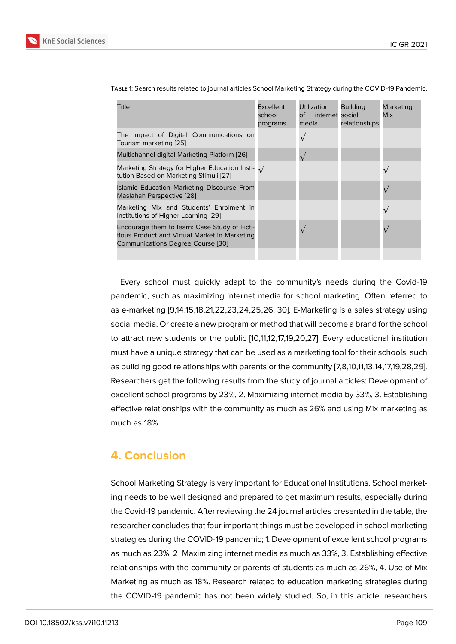| Title                                                                                                                               | Excellent<br>school<br>programs | Utilization<br>internet social<br>of<br>media | <b>Building</b><br>relationships | Marketing<br>Mix |
|-------------------------------------------------------------------------------------------------------------------------------------|---------------------------------|-----------------------------------------------|----------------------------------|------------------|
| The Impact of Digital Communications on<br>Tourism marketing [25]                                                                   |                                 |                                               |                                  |                  |
| Multichannel digital Marketing Platform [26]                                                                                        |                                 |                                               |                                  |                  |
| Marketing Strategy for Higher Education Insti- $\sqrt{}$<br>tution Based on Marketing Stimuli [27]                                  |                                 |                                               |                                  |                  |
| Islamic Education Marketing Discourse From<br>Maslahah Perspective [28]                                                             |                                 |                                               |                                  |                  |
| Marketing Mix and Students' Enrolment in<br>Institutions of Higher Learning [29]                                                    |                                 |                                               |                                  |                  |
| Encourage them to learn: Case Study of Ficti-<br>tious Product and Virtual Market in Marketing<br>Communications Degree Course [30] |                                 |                                               |                                  |                  |
|                                                                                                                                     |                                 |                                               |                                  |                  |

Table 1: Search results related to journal articles School Marketing Strategy during the COVID-19 Pandemic.

Every school must quickl[y a](#page-7-7)dapt to the community's needs during the Covid-19 pandemic, such as maximizing internet media for school marketing. Often referred to as e-marketing [9,14,15,18,21,22,23,24,25,26, 30]. E-Marketing is a sales strategy using social media. Or create a new program or method that will become a brand for the school to attract new students or the public [10,11,12,17,19,20,27]. Every educational institution must have a unique strategy that can be used as a marketing tool for their schools, such as building good relationships with parents or the community [7,8,10,11,13,14,17,19,28,29]. Researchers get the following results from the study of journal articles: Development of excellent school programs by 23%, 2. Maximizing internet media by 33%, 3. Establishing effective relationships with the community as much as 26% and using Mix marketing as much as 18%

### **4. Conclusion**

School Marketing Strategy is very important for Educational Institutions. School marketing needs to be well designed and prepared to get maximum results, especially during the Covid-19 pandemic. After reviewing the 24 journal articles presented in the table, the researcher concludes that four important things must be developed in school marketing strategies during the COVID-19 pandemic; 1. Development of excellent school programs as much as 23%, 2. Maximizing internet media as much as 33%, 3. Establishing effective relationships with the community or parents of students as much as 26%, 4. Use of Mix Marketing as much as 18%. Research related to education marketing strategies during the COVID-19 pandemic has not been widely studied. So, in this article, researchers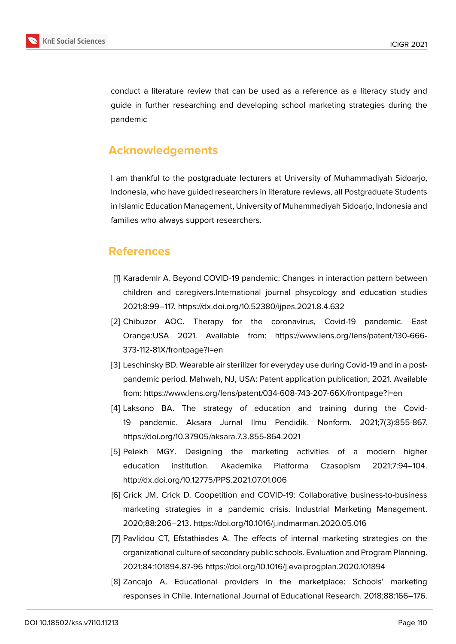



conduct a literature review that can be used as a reference as a literacy study and guide in further researching and developing school marketing strategies during the pandemic

### **Acknowledgements**

I am thankful to the postgraduate lecturers at University of Muhammadiyah Sidoarjo, Indonesia, who have guided researchers in literature reviews, all Postgraduate Students in Islamic Education Management, University of Muhammadiyah Sidoarjo, Indonesia and families who always support researchers.

### **References**

- <span id="page-5-0"></span>[1] Karademir A. Beyond COVID-19 pandemic: Changes in interaction pattern between children and caregivers.International journal phsycology and education studies 2021;8:99–117. https://dx.doi.org/10.52380/ijpes.2021.8.4.632
- <span id="page-5-1"></span>[2] Chibuzor AOC. Therapy for the coronavirus, Covid-19 pandemic. East Orange:USA 2021. Available from: https://www.lens.org/lens/patent/130-666- 373-112-81X/frontpage?l=en
- <span id="page-5-2"></span>[3] Leschinsky BD. Wearable air sterilizer for everyday use during Covid-19 and in a postpandemic period. Mahwah, NJ, USA: Patent application publication; 2021. Available from: https://www.lens.org/lens/patent/034-608-743-207-66X/frontpage?l=en
- [4] Laksono BA. The strategy of education and training during the Covid-19 pandemic. Aksara Jurnal Ilmu Pendidik. Nonform. 2021;7(3):855-867. https://doi.org/10.37905/aksara.7.3.855-864.2021
- <span id="page-5-3"></span>[5] Pelekh MGY. Designing the marketing activities of a modern higher education institution. Akademika Platforma Czasopism 2021;7:94–104. http://dx.doi.org/10.12775/PPS.2021.07.01.006
- [6] Crick JM, Crick D. Coopetition and COVID-19: Collaborative business-to-business marketing strategies in a pandemic crisis. Industrial Marketing Management. 2020;88:206–213. https://doi.org/10.1016/j.indmarman.2020.05.016
- <span id="page-5-4"></span>[7] Pavlidou CT, Efstathiades A. The effects of internal marketing strategies on the organizational culture of secondary public schools. Evaluation and Program Planning. 2021;84:101894.87-96 https://doi.org/10.1016/j.evalprogplan.2020.101894
- [8] Zancajo A. Educational providers in the marketplace: Schools' marketing responses in Chile. International Journal of Educational Research. 2018;88:166–176.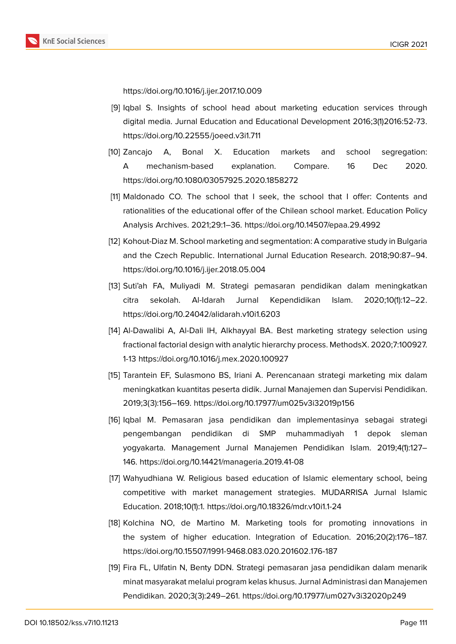https://doi.org/10.1016/j.ijer.2017.10.009

- <span id="page-6-0"></span>[9] Iqbal S. Insights of school head about marketing education services through digital media. Jurnal Education and Educational Development 2016;3(1)2016:52-73. https://doi.org/10.22555/joeed.v3i1.711
- <span id="page-6-1"></span>[10] Zancajo A, Bonal X. Education markets and school segregation: A mechanism-based explanation. Compare. 16 Dec 2020. https://doi.org/10.1080/03057925.2020.1858272
- <span id="page-6-2"></span>[11] Maldonado CO. The school that I seek, the school that I offer: Contents and rationalities of the educational offer of the Chilean school market. Education Policy Analysis Archives. 2021;29:1–36. https://doi.org/10.14507/epaa.29.4992
- <span id="page-6-3"></span>[12] Kohout-Diaz M. School marketing and segmentation: A comparative study in Bulgaria and the Czech Republic. International Jurnal Education Research. 2018;90:87–94. https://doi.org/10.1016/j.ijer.2018.05.004
- <span id="page-6-4"></span>[13] Suti'ah FA, Muliyadi M. Strategi pemasaran pendidikan dalam meningkatkan citra sekolah. Al-Idarah Jurnal Kependidikan Islam. 2020;10(1):12–22. https://doi.org/10.24042/alidarah.v10i1.6203
- <span id="page-6-5"></span>[14] Al-Dawalibi A, Al-Dali IH, Alkhayyal BA. Best marketing strategy selection using fractional factorial design with analytic hierarchy process. MethodsX. 2020;7:100927. 1-13 https://doi.org/10.1016/j.mex.2020.100927
- [15] Tarantein EF, Sulasmono BS, Iriani A. Perencanaan strategi marketing mix dalam meningkatkan kuantitas peserta didik. Jurnal Manajemen dan Supervisi Pendidikan. 2019;3(3):156–169. https://doi.org/10.17977/um025v3i32019p156
- <span id="page-6-6"></span>[16] Iqbal M. Pemasaran jasa pendidikan dan implementasinya sebagai strategi pengembangan pendidikan di SMP muhammadiyah 1 depok sleman yogyakarta. Management Jurnal Manajemen Pendidikan Islam. 2019;4(1):127– 146. https://doi.org/10.14421/manageria.2019.41-08
- <span id="page-6-7"></span>[17] Wahyudhiana W. Religious based education of Islamic elementary school, being competitive with market management strategies. MUDARRISA Jurnal Islamic Education. 2018;10(1):1. https://doi.org/10.18326/mdr.v10i1.1-24
- <span id="page-6-8"></span>[18] Kolchina NO, de Martino M. Marketing tools for promoting innovations in the system of higher education. Integration of Education. 2016;20(2):176–187. https://doi.org/10.15507/1991-9468.083.020.201602.176-187
- <span id="page-6-9"></span>[19] Fira FL, Ulfatin N, Benty DDN. Strategi pemasaran jasa pendidikan dalam menarik minat masyarakat melalui program kelas khusus. Jurnal Administrasi dan Manajemen Pendidikan. 2020;3(3):249–261. https://doi.org/10.17977/um027v3i32020p249